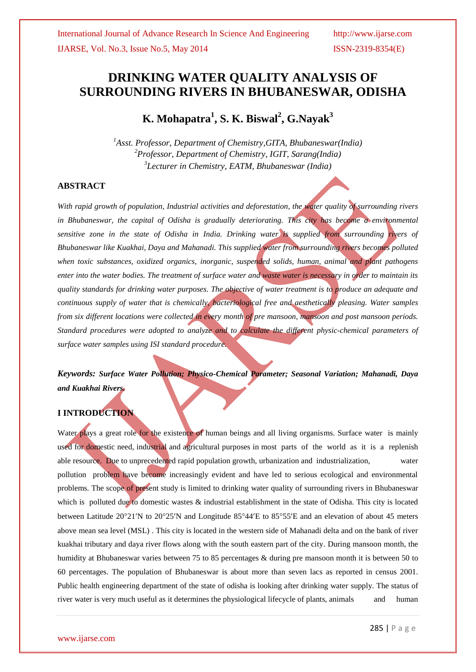# **DRINKING WATER QUALITY ANALYSIS OF SURROUNDING RIVERS IN BHUBANESWAR, ODISHA**

**K. Mohapatra<sup>1</sup> , S. K. Biswal<sup>2</sup> , G.Nayak<sup>3</sup>**

*<sup>1</sup>Asst. Professor, Department of Chemistry,GITA, Bhubaneswar(India) <sup>2</sup>Professor, Department of Chemistry, IGIT, Sarang(India) 3 Lecturer in Chemistry, EATM, Bhubaneswar (India)*

# **ABSTRACT**

*With rapid growth of population, Industrial activities and deforestation, the water quality of surrounding rivers in Bhubaneswar, the capital of Odisha is gradually deteriorating. This city has become a environmental sensitive zone in the state of Odisha in India. Drinking water is supplied from surrounding rivers of Bhubaneswar like Kuakhai, Daya and Mahanadi. This supplied water from surrounding rivers becomes polluted when toxic substances, oxidized organics, inorganic, suspended solids, human, animal and plant pathogens enter into the water bodies. The treatment of surface water and waste water is necessary in order to maintain its quality standards for drinking water purposes. The objective of water treatment is to produce an adequate and continuous supply of water that is chemically, bacteriological free and aesthetically pleasing. Water samples from six different locations were collected in every month of pre mansoon, mansoon and post mansoon periods. Standard procedures were adopted to analyze and to calculate the different physic-chemical parameters of surface water samples using ISI standard procedure.*

*Keywords: Surface Water Pollution; Physico-Chemical Parameter; Seasonal Variation; Mahanadi, Daya and Kuakhai Rivers.*

# **I INTRODUCTION**

Water plays a great role for the existence of human beings and all living organisms. Surface water is mainly used for domestic need, industrial and agricultural purposes in most parts of the world as it is a replenish able resource. Due to unprecedented rapid population growth, urbanization and industrialization, water pollution problem have become increasingly evident and have led to serious ecological and environmental problems. The scope of present study is limited to drinking water quality of surrounding rivers in Bhubaneswar which is polluted due to domestic wastes  $\&$  industrial establishment in the state of Odisha. This city is located between Latitude 20°21′N to 20°25′N and Longitude 85°44′E to 85°55′E and an elevation of about 45 meters above mean sea level (MSL) . This city is located in the western side of Mahanadi delta and on the bank of river kuakhai tributary and daya river flows along with the south eastern part of the city. During mansoon month, the humidity at Bhubaneswar varies between 75 to 85 percentages & during pre mansoon month it is between 50 to 60 percentages. The population of Bhubaneswar is about more than seven lacs as reported in census 2001. Public health engineering department of the state of odisha is looking after drinking water supply. The status of river water is very much useful as it determines the physiological lifecycle of plants, animals and human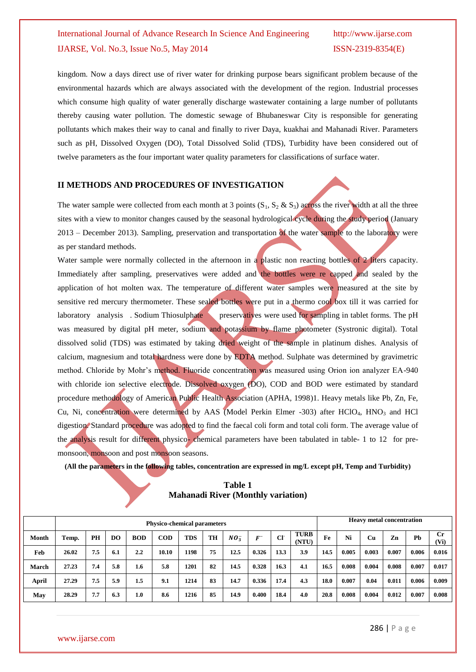# International Journal of Advance Research In Science And Engineering http://www.ijarse.com IJARSE, Vol. No.3, Issue No.5, May 2014 ISSN-2319-8354(E)

kingdom. Now a days direct use of river water for drinking purpose bears significant problem because of the environmental hazards which are always associated with the development of the region. Industrial processes which consume high quality of water generally discharge wastewater containing a large number of pollutants thereby causing water pollution. The domestic sewage of Bhubaneswar City is responsible for generating pollutants which makes their way to canal and finally to river Daya, kuakhai and Mahanadi River. Parameters such as pH, Dissolved Oxygen (DO), Total Dissolved Solid (TDS), Turbidity have been considered out of twelve parameters as the four important water quality parameters for classifications of surface water.

# **II METHODS AND PROCEDURES OF INVESTIGATION**

The water sample were collected from each month at 3 points  $(S_1, S_2 \& S_3)$  across the river width at all the three sites with a view to monitor changes caused by the seasonal hydrological cycle during the study period (January 2013 – December 2013). Sampling, preservation and transportation of the water sample to the laboratory were as per standard methods.

Water sample were normally collected in the afternoon in a plastic non reacting bottles of 2 liters capacity. Immediately after sampling, preservatives were added and the bottles were re capped and sealed by the application of hot molten wax. The temperature of different water samples were measured at the site by sensitive red mercury thermometer. These sealed bottles were put in a thermo cool box till it was carried for laboratory analysis . Sodium Thiosulphate preservatives were used for sampling in tablet forms. The pH was measured by digital pH meter, sodium and potassium by flame photometer (Systronic digital). Total dissolved solid (TDS) was estimated by taking dried weight of the sample in platinum dishes. Analysis of calcium, magnesium and total hardness were done by EDTA method. Sulphate was determined by gravimetric method. Chloride by Mohr's method. Fluoride concentration was measured using Orion ion analyzer EA-940 with chloride ion selective electrode. Dissolved oxygen (DO), COD and BOD were estimated by standard procedure methodology of American Public Health Association (APHA, 1998)1. Heavy metals like Pb, Zn, Fe, Cu, Ni, concentration were determined by AAS (Model Perkin Elmer -303) after  $HCO<sub>4</sub>$ ,  $HNO<sub>3</sub>$  and  $HCl$ digestion. Standard procedure was adopted to find the faecal coli form and total coli form. The average value of the analysis result for different physico- chemical parameters have been tabulated in table- 1 to 12 for premonsoon, monsoon and post monsoon seasons.

**(All the parameters in the following tables, concentration are expressed in mg/L except pH, Temp and Turbidity)**

# **Table 1 Mahanadi River (Monthly variation)**

|              |       |     |                |            | <b>Physico-chemical parameters</b> |            |    |          |                 |             |                      | <b>Heavy metal concentration</b> |       |       |       |       |                                  |  |  |
|--------------|-------|-----|----------------|------------|------------------------------------|------------|----|----------|-----------------|-------------|----------------------|----------------------------------|-------|-------|-------|-------|----------------------------------|--|--|
| Month        | Temp. | PH  | D <sub>O</sub> | <b>BOD</b> | <b>COD</b>                         | <b>TDS</b> | TH | $NO_3^-$ | $_{\it{F}^{-}}$ | $_{\rm CI}$ | <b>TURB</b><br>(NTU) | Fe                               | Ni    | Cu    | Zn    | Ph    | $_{\rm Cr}$<br>(V <sub>i</sub> ) |  |  |
| Feb          | 26.02 | 7.5 | 6.1            | 2.2        | 10.10                              | 1198       | 75 | 12.5     | 0.326           | 13.3        | 3.9                  | 14.5                             | 0.005 | 0.003 | 0.007 | 0.006 | 0.016                            |  |  |
| March        | 27.23 | 7.4 | 5.8            | 1.6        | 5.8                                | 1201       | 82 | 14.5     | 0.328           | 16.3        | 4.1                  | 16.5                             | 0.008 | 0.004 | 0.008 | 0.007 | 0.017                            |  |  |
| <b>April</b> | 27.29 | 7.5 | 5.9            | 1.5        | 9.1                                | 1214       | 83 | 14.7     | 0.336           | 17.4        | 4.3                  | 18.0                             | 0.007 | 0.04  | 0.011 | 0.006 | 0.009                            |  |  |
| May          | 28.29 | 7.7 | 6.3            | 1.0        | 8.6                                | 1216       | 85 | 14.9     | 0.400           | 18.4        | 4.0                  | 20.8                             | 0.008 | 0.004 | 0.012 | 0.007 | 0.008                            |  |  |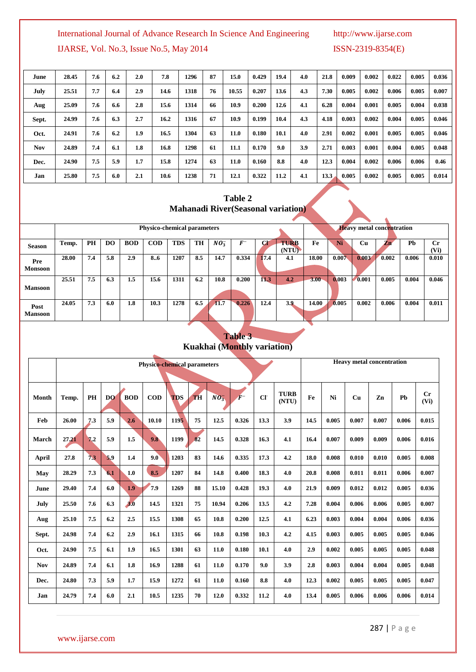# International Journal of Advance Research In Science And Engineering http://www.ijarse.com

IJARSE, Vol. No.3, Issue No.5, May 2014 ISSN-2319-8354(E)

| June       | 28.45 | 7.6 | 6.2 | 2.0 | 7.8  | 1296 | 87  | 15.0  | 0.429 | 19.4 | 4.0 | 21.8 | 0.009 | 0.002 | 0.022 | 0.005 | 0.036 |
|------------|-------|-----|-----|-----|------|------|-----|-------|-------|------|-----|------|-------|-------|-------|-------|-------|
| July       | 25.51 | 7.7 | 6.4 | 2.9 | 14.6 | 1318 | 76  | 10.55 | 0.207 | 13.6 | 4.3 | 7.30 | 0.005 | 0.002 | 0.006 | 0.005 | 0.007 |
| Aug        | 25.09 | 7.6 | 6.6 | 2.8 | 15.6 | 1314 | 66  | 10.9  | 0.200 | 12.6 | 4.1 | 6.28 | 0.004 | 0.001 | 0.005 | 0.004 | 0.038 |
| Sept.      | 24.99 | 7.6 | 6.3 | 2.7 | 16.2 | 1316 | 67  | 10.9  | 0.199 | 10.4 | 4.3 | 4.18 | 0.003 | 0.002 | 0.004 | 0.005 | 0.046 |
| Oct.       | 24.91 | 7.6 | 6.2 | 1.9 | 16.5 | 1304 | 63  | 11.0  | 0.180 | 10.1 | 4.0 | 2.91 | 0.002 | 0.001 | 0.005 | 0.005 | 0.046 |
| <b>Nov</b> | 24.89 | 7.4 | 6.1 | 1.8 | 16.8 | 1298 | -61 | 11.1  | 0.170 | 9.0  | 3.9 | 2.71 | 0.003 | 0.001 | 0.004 | 0.005 | 0.048 |
| Dec.       | 24.90 | 7.5 | 5.9 | 1.7 | 15.8 | 1274 | 63  | 11.0  | 0.160 | 8.8  | 4.0 | 12.3 | 0.004 | 0.002 | 0.006 | 0.006 | 0.46  |
| Jan        | 25.80 | 7.5 | 6.0 | 2.1 | 10.6 | 1238 | 71  | 12.1  | 0.322 | 11.2 | 4.1 | 13.3 | 0.005 | 0.002 | 0.005 | 0.005 | 0.014 |

# **Table 2 Mahanadi River(Seasonal variation)**

|                        |       |     |     |            | <b>Physico-chemical parameters</b> |            |     |          |       |      |                      |          |       | <b>Heavy metal concentration</b> |                          |       |                 |
|------------------------|-------|-----|-----|------------|------------------------------------|------------|-----|----------|-------|------|----------------------|----------|-------|----------------------------------|--------------------------|-------|-----------------|
| <b>Season</b>          | Temp. | PH  | DO. | <b>BOD</b> | <b>COD</b>                         | <b>TDS</b> | TH  | $NO_3^-$ | $F^-$ | CT.  | <b>TURB</b><br>(NTU) | Fe       | Ni    | <b>Cu</b>                        | $\mathcal{L}^{\text{m}}$ | Pb    | $C_{r}$<br>(Vi) |
| Pre<br><b>Monsoon</b>  | 28.00 | 7.4 | 5.8 | 2.9        | 8.6                                | 1207       | 8.5 | 14.7     | 0.334 | 17.4 | 4.1                  | 18.00    | 0.007 | 0.003                            | 0.002                    | 0.006 | 0.010           |
| <b>Mansoon</b>         | 25.51 | 7.5 | 6.3 | 1.5        | 15.6                               | 1311       | 6.2 | 10.8     | 0.200 | 11.3 | 4.2                  | $3.00 -$ | 0.003 | 0.001                            | 0.005                    | 0.004 | 0.046           |
| Post<br><b>Mansoon</b> | 24.05 | 7.3 | 6.0 | 1.8        | 10.3                               | 1278       | 6.5 | 11.7     | 0.226 | 12.4 | 3.9                  | 14.00    | 0.005 | 0.002                            | 0.006                    | 0.004 | 0.011           |

# **Table 3 Kuakhai (Monthly variation)**

|            |       |     |           |            | <b>Physico-chemical parameters</b> |            |           |          |       |      |                      |      |       | <b>Heavy metal concentration</b> |       |       |                              |
|------------|-------|-----|-----------|------------|------------------------------------|------------|-----------|----------|-------|------|----------------------|------|-------|----------------------------------|-------|-------|------------------------------|
|            |       |     |           |            |                                    |            |           |          |       |      |                      |      |       |                                  |       |       |                              |
| Month      | Temp. | PH  | <b>DQ</b> | <b>BOD</b> | $\bf{COD}$                         | <b>TDS</b> | <b>TH</b> | $NO_3^-$ |       | CI   | <b>TURB</b><br>(NTU) | Fe   | Ni    | Cu                               | Zn    | Pb    | $C_{r}$<br>(V <sub>i</sub> ) |
| Feb        | 26.00 | 7.3 | 5.9       | 2.6        | 10.10                              | 1195       | 75        | 12.5     | 0.326 | 13.3 | 3.9                  | 14.5 | 0.005 | 0.007                            | 0.007 | 0.006 | 0.015                        |
| March      | 27.21 | 7.2 | 5.9       | 1.5        | 9.8                                | 1199       | 82        | 14.5     | 0.328 | 16.3 | 4.1                  | 16.4 | 0.007 | 0.009                            | 0.009 | 0.006 | 0.016                        |
| April      | 27.8  | 73  | 5.9       | 1.4        | 9.0                                | 1203       | 83        | 14.6     | 0.335 | 17.3 | 4.2                  | 18.0 | 0.008 | 0.010                            | 0.010 | 0.005 | 0.008                        |
| May        | 28.29 | 7.3 | 6.1       | 1.0        | 8.5                                | 1207       | 84        | 14.8     | 0.400 | 18.3 | 4.0                  | 20.8 | 0.008 | 0.011                            | 0.011 | 0.006 | 0.007                        |
| June       | 29.40 | 7.4 | 6.0       | 1.9        | 7.9                                | 1269       | 88        | 15.10    | 0.428 | 19.3 | 4.0                  | 21.9 | 0.009 | 0.012                            | 0.012 | 0.005 | 0.036                        |
| July       | 25.50 | 7.6 | 6.3       | 3.0        | 14.5                               | 1321       | 75        | 10.94    | 0.206 | 13.5 | 4.2                  | 7.28 | 0.004 | 0.006                            | 0.006 | 0.005 | 0.007                        |
| Aug        | 25.10 | 7.5 | 6.2       | 2.5        | 15.5                               | 1308       | 65        | 10.8     | 0.200 | 12.5 | 4.1                  | 6.23 | 0.003 | 0.004                            | 0.004 | 0.006 | 0.036                        |
| Sept.      | 24.98 | 7.4 | 6.2       | 2.9        | 16.1                               | 1315       | 66        | 10.8     | 0.198 | 10.3 | 4.2                  | 4.15 | 0.003 | 0.005                            | 0.005 | 0.005 | 0.046                        |
| Oct.       | 24.90 | 7.5 | 6.1       | 1.9        | 16.5                               | 1301       | 63        | 11.0     | 0.180 | 10.1 | 4.0                  | 2.9  | 0.002 | 0.005                            | 0.005 | 0.005 | 0.048                        |
| <b>Nov</b> | 24.89 | 7.4 | 6.1       | 1.8        | 16.9                               | 1288       | 61        | 11.0     | 0.170 | 9.0  | 3.9                  | 2.8  | 0.003 | 0.004                            | 0.004 | 0.005 | 0.048                        |
| Dec.       | 24.80 | 7.3 | 5.9       | 1.7        | 15.9                               | 1272       | 61        | 11.0     | 0.160 | 8.8  | 4.0                  | 12.3 | 0.002 | 0.005                            | 0.005 | 0.005 | 0.047                        |
| Jan        | 24.79 | 7.4 | 6.0       | 2.1        | 10.5                               | 1235       | 70        | 12.0     | 0.332 | 11.2 | 4.0                  | 13.4 | 0.005 | 0.006                            | 0.006 | 0.006 | 0.014                        |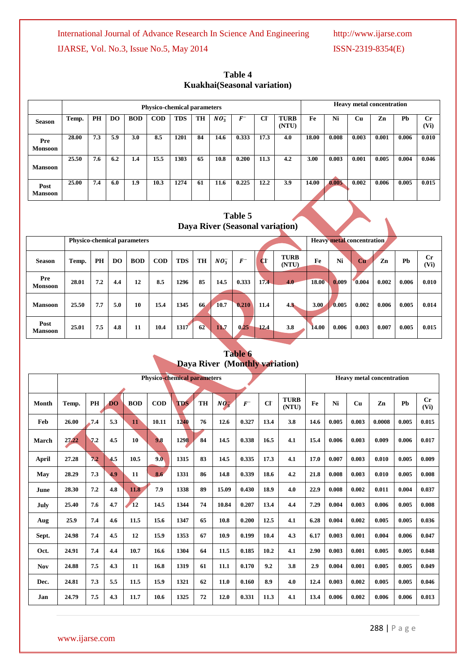|                        |       |     |                |            | <b>Physico-chemical parameters</b> |            |    |          |       |           |                      |       |       |       | <b>Heavy metal concentration</b> |       |            |
|------------------------|-------|-----|----------------|------------|------------------------------------|------------|----|----------|-------|-----------|----------------------|-------|-------|-------|----------------------------------|-------|------------|
| <b>Season</b>          | Temp. | PH  | D <sub>O</sub> | <b>BOD</b> | $\mathbf{COD}$                     | <b>TDS</b> | TH | $NO_3^-$ | $F^-$ | <b>CF</b> | <b>TURB</b><br>(NTU) | Fe    | Ni    | Cu    | Zn                               | Pb    | Cr<br>(Vi) |
| Pre<br><b>Monsoon</b>  | 28.00 | 7.3 | 5.9            | 3.0        | 8.5                                | 1201       | 84 | 14.6     | 0.333 | 17.3      | 4.0                  | 18.00 | 0.008 | 0.003 | 0.001                            | 0.006 | 0.010      |
| <b>Mansoon</b>         | 25.50 | 7.6 | 6.2            | 1.4        | 15.5                               | 1303       | 65 | 10.8     | 0.200 | 11.3      | 4.2                  | 3.00  | 0.003 | 0.001 | 0.005                            | 0.004 | 0.046      |
| Post<br><b>Mansoon</b> | 25.00 | 7.4 | 6.0            | 1.9        | 10.3                               | 1274       | 61 | 11.6     | 0.225 | 12.2      | 3.9                  | 14.00 | 0.005 | 0.002 | 0.006                            | 0.005 | 0.015      |

# **Table 4 Kuakhai(Seasonal variation)**

# **Table 5 Daya River (Seasonal variation)**

|                        |       |     |     | Physico-chemical parameters |                |            |    |             |            |      |                      |              |       | <b>Heavy metal concentration</b> |       |       |                 |
|------------------------|-------|-----|-----|-----------------------------|----------------|------------|----|-------------|------------|------|----------------------|--------------|-------|----------------------------------|-------|-------|-----------------|
|                        |       |     |     |                             |                |            |    |             |            |      |                      |              |       |                                  |       |       |                 |
| <b>Season</b>          | Temp. | PH  | DO. | <b>BOD</b>                  | $\mathbf{COD}$ | <b>TDS</b> | TH | $NO_3^-$    | $\bm{F}^-$ | CI   | <b>TURB</b><br>(NTU) | Fe           | Ni    | Cu                               | Zn    | Pb    | $C_{r}$<br>(Vi) |
| Pre<br><b>Monsoon</b>  | 28.01 | 7.2 | 4.4 | 12                          | 8.5            | 1296       | 85 | 14.5        | 0.333      | 17.4 | 4.0                  | 18.00        | 0.009 | 0.004                            | 0.002 | 0.006 | 0.010           |
| <b>Mansoon</b>         | 25.50 | 7.7 | 5.0 | 10                          | 15.4           | 1345       | 66 | <b>10.7</b> | 0.210      | 11.4 | 4.3                  | 3.00         | 0.005 | 0.002                            | 0.006 | 0.005 | 0.014           |
| Post<br><b>Mansoon</b> | 25.01 | 7.5 | 4.8 | 11                          | 10.4           | 1317       | 62 | 11.7        | 0.25       | 12.4 | 3.8                  | <b>14.00</b> | 0.006 | 0.003                            | 0.007 | 0.005 | 0.015           |

# **Table 6 Daya River (Monthly variation)**

|            |       |     |                |            | <b>Physico-chemical parameters</b> |            |    |                   |       | <b>Heavy metal concentration</b> |                      |      |       |       |        |       |                 |
|------------|-------|-----|----------------|------------|------------------------------------|------------|----|-------------------|-------|----------------------------------|----------------------|------|-------|-------|--------|-------|-----------------|
|            |       |     |                |            |                                    |            |    |                   |       |                                  |                      |      |       |       |        |       |                 |
| Month      | Temp. | PH  | D <sub>O</sub> | <b>BOD</b> | $\bf{COD}$                         | <b>TDS</b> | TH | $N\overline{O_3}$ | $F^-$ | CI                               | <b>TURB</b><br>(NTU) | Fe   | Ni    | Cu    | Zn     | Pb    | $C_{r}$<br>(Vi) |
| Feb        | 26.00 | 7.4 | 5.3            | 11         | 10.11                              | 1240       | 76 | 12.6              | 0.327 | 13.4                             | 3.8                  | 14.6 | 0.005 | 0.003 | 0.0008 | 0.005 | 0.015           |
| March      | 27.22 | 7.2 | 4.5            | 10         | 9.8                                | 1298       | 84 | 14.5              | 0.338 | 16.5                             | 4.1                  | 15.4 | 0.006 | 0.003 | 0.009  | 0.006 | 0.017           |
| April      | 27.28 | 7.2 | 4.5            | 10.5       | 9.0                                | 1315       | 83 | 14.5              | 0.335 | 17.3                             | 4.1                  | 17.0 | 0.007 | 0.003 | 0.010  | 0.005 | 0.009           |
| May        | 28.29 | 7.3 | 4.9            | 11         | 8.6                                | 1331       | 86 | 14.8              | 0.339 | 18.6                             | 4.2                  | 21.8 | 0.008 | 0.003 | 0.010  | 0.005 | 0.008           |
| June       | 28.30 | 7.2 | 4.8            | 11.8       | 7.9                                | 1338       | 89 | 15.09             | 0.430 | 18.9                             | 4.0                  | 22.9 | 0.008 | 0.002 | 0.011  | 0.004 | 0.037           |
| July       | 25.40 | 7.6 | 4.7            | 12         | 14.5                               | 1344       | 74 | 10.84             | 0.207 | 13.4                             | 4.4                  | 7.29 | 0.004 | 0.003 | 0.006  | 0.005 | 0.008           |
| Aug        | 25.9  | 7.4 | 4.6            | 11.5       | 15.6                               | 1347       | 65 | 10.8              | 0.200 | 12.5                             | 4.1                  | 6.28 | 0.004 | 0.002 | 0.005  | 0.005 | 0.036           |
| Sept.      | 24.98 | 7.4 | 4.5            | 12         | 15.9                               | 1353       | 67 | 10.9              | 0.199 | 10.4                             | 4.3                  | 6.17 | 0.003 | 0.001 | 0.004  | 0.006 | 0.047           |
| Oct.       | 24.91 | 7.4 | 4.4            | 10.7       | 16.6                               | 1304       | 64 | 11.5              | 0.185 | 10.2                             | 4.1                  | 2.90 | 0.003 | 0.001 | 0.005  | 0.005 | 0.048           |
| <b>Nov</b> | 24.88 | 7.5 | 4.3            | 11         | 16.8                               | 1319       | 61 | 11.1              | 0.170 | 9.2                              | 3.8                  | 2.9  | 0.004 | 0.001 | 0.005  | 0.005 | 0.049           |
| Dec.       | 24.81 | 7.3 | 5.5            | 11.5       | 15.9                               | 1321       | 62 | 11.0              | 0.160 | 8.9                              | 4.0                  | 12.4 | 0.003 | 0.002 | 0.005  | 0.005 | 0.046           |
| Jan        | 24.79 | 7.5 | 4.3            | 11.7       | 10.6                               | 1325       | 72 | 12.0              | 0.331 | 11.3                             | 4.1                  | 13.4 | 0.006 | 0.002 | 0.006  | 0.006 | 0.013           |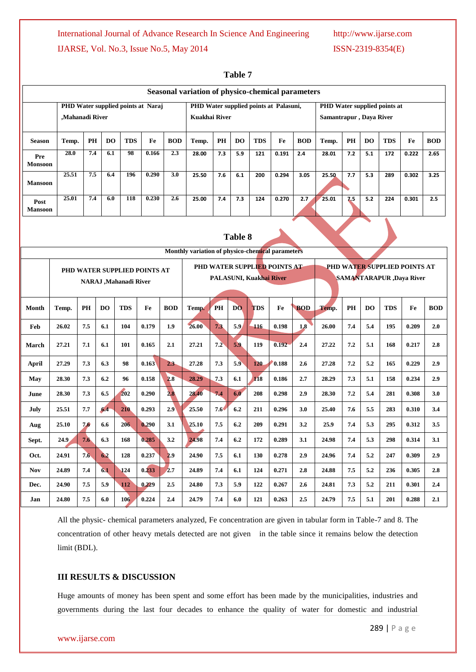## International Journal of Advance Research In Science And Engineering http://www.ijarse.com

# IJARSE, Vol. No.3, Issue No.5, May 2014 ISSN-2319-8354(E)

|                        | Seasonal variation of physico-chemical parameters<br>PHD Water supplied points at Naraj<br>PHD Water supplied points at Palasuni,<br>PHD Water supplied points at |                 |                |                              |                              |            |                                                  |               |                |                         |                              |            |                         |     |                |            |                                  |            |  |  |
|------------------------|-------------------------------------------------------------------------------------------------------------------------------------------------------------------|-----------------|----------------|------------------------------|------------------------------|------------|--------------------------------------------------|---------------|----------------|-------------------------|------------------------------|------------|-------------------------|-----|----------------|------------|----------------------------------|------------|--|--|
|                        |                                                                                                                                                                   |                 |                |                              |                              |            |                                                  |               |                |                         |                              |            |                         |     |                |            |                                  |            |  |  |
|                        |                                                                                                                                                                   | ,Mahanadi River |                |                              |                              |            | <b>Kuakhai River</b>                             |               |                |                         |                              |            | Samantrapur, Daya River |     |                |            |                                  |            |  |  |
| <b>Season</b>          | Temp.                                                                                                                                                             | PH              | D <sub>O</sub> | <b>TDS</b>                   | Fe                           | <b>BOD</b> | Temp.                                            | PH            | <b>DO</b>      | <b>TDS</b>              | Fe                           | <b>BOD</b> | Temp.                   | PH  | D <sub>O</sub> | <b>TDS</b> | Fe                               | <b>BOD</b> |  |  |
| Pre<br><b>Monsoon</b>  | 28.0                                                                                                                                                              | 7.4             | 6.1            | 98                           | 0.166                        | 2.3        | 28.00                                            | 7.3           | 5.9            | 121                     | 0.191                        | 2.4        | 28.01                   | 7.2 | 5.1            | 172        | 0.222                            | 2.65       |  |  |
| <b>Mansoon</b>         | 25.51                                                                                                                                                             | 7.5             | 6.4            | 196                          | 0.290                        | 3.0        | 25.50                                            | 7.6           | 6.1            | 200                     | 0.294                        | 3.05       | 25.50                   | 7.7 | 5.3            | 289        | 0.302                            | 3.25       |  |  |
| Post<br><b>Mansoon</b> | 25.01                                                                                                                                                             | 7.4             | 6.0            | 118                          | 0.230                        | 2.6        | 25.00                                            | 7.4           | 7.3            | 124                     | 0.270                        | 2.7        | 25.01                   | 7.5 | 5.2            | 224        | 0.301                            | 2.5        |  |  |
|                        |                                                                                                                                                                   |                 |                |                              |                              |            |                                                  |               |                |                         |                              |            |                         |     |                |            |                                  |            |  |  |
|                        |                                                                                                                                                                   |                 |                |                              |                              |            |                                                  |               | <b>Table 8</b> |                         |                              |            |                         |     |                |            |                                  |            |  |  |
|                        |                                                                                                                                                                   |                 |                |                              |                              |            | Monthly variation of physico-chemical parameters |               |                |                         |                              |            |                         |     |                |            |                                  |            |  |  |
|                        |                                                                                                                                                                   |                 |                |                              | PHD WATER SUPPLIED POINTS AT |            |                                                  |               |                |                         | PHD WATER SUPPLIED POINTS AT |            |                         |     |                |            | PHD WATER SUPPLIED POINTS AT     |            |  |  |
|                        |                                                                                                                                                                   |                 |                | <b>NARAJ ,Mahanadi River</b> |                              |            |                                                  |               |                | PALASUNI, Kuakhai River |                              |            |                         |     |                |            | <b>SAMANTARAPUR</b> , Daya River |            |  |  |
|                        |                                                                                                                                                                   |                 |                |                              |                              |            |                                                  |               |                |                         |                              |            |                         |     |                |            |                                  |            |  |  |
| Month                  | Temp.                                                                                                                                                             | PH              | <b>DO</b>      | <b>TDS</b>                   | Fe                           | <b>BOD</b> | Temp.                                            | PH            | <b>DO</b>      | <b>TDS</b>              | Fe                           | <b>BOD</b> | Temp.                   | PH  | <b>DO</b>      | <b>TDS</b> | Fe                               | <b>BOD</b> |  |  |
| Feb                    | 26.02                                                                                                                                                             | 7.5             | 6.1            | 104                          | 0.179                        | 1.9        | 26.00                                            | 7.3           | 5.9            | 116                     | 0.198                        | 1.8        | 26.00                   | 7.4 | 5.4            | 195        | 0.209                            | 2.0        |  |  |
| March                  | 27.21                                                                                                                                                             | 7.1             | 6.1            | 101                          | 0.165                        | 2.1        | 27.21                                            | 7.2           | 5.9            | 119                     | 0.192                        | 2.4        | 27.22                   | 7.2 | 5.1            | 168        | 0.217                            | 2.8        |  |  |
| April                  | 27.29                                                                                                                                                             | 7.3             | 6.3            | 98                           | 0.163                        | 2.3        | 27.28                                            | 7.3           | 5.9            | 120                     | 0.188                        | 2.6        | 27.28                   | 7.2 | 5.2            | 165        | 0.229                            | 2.9        |  |  |
| May                    | 28.30                                                                                                                                                             | 7.3             | 6.2            | 96                           | 0.158                        | 2.8        | 28.29                                            | 7.3           | 6.1            | 118                     | 0.186                        | 2.7        | 28.29                   | 7.3 | 5.1            | 158        | 0.234                            | 2.9        |  |  |
| June                   | 28.30                                                                                                                                                             | 7.3             | 6.5            | 202                          | 0.290                        | 2.8        | 28.40                                            | 7.4           | 6.0            | 208                     | 0.298                        | 2.9        | 28.30                   | 7.2 | 5.4            | 281        | 0.308                            | 3.0        |  |  |
| July                   | 25.51                                                                                                                                                             | 7.7             | 6.4            | 210                          | 0.293                        | 2.9        | 25.50                                            | $7.6^{\circ}$ | 6.2            | 211                     | 0.296                        | 3.0        | 25.40                   | 7.6 | 5.5            | 283        | 0.310                            | 3.4        |  |  |
| Aug                    | 206<br>0.290<br>25.10<br>7.6<br>6.6<br>3.1                                                                                                                        |                 |                |                              |                              |            | 25.10                                            | 7.5           | 6.2            | 209                     | 0.291                        | 3.2        | 25.9                    | 7.4 | 5.3            | 295        | 0.312                            | 3.5        |  |  |
| Sept.                  | 24.9                                                                                                                                                              | 7.6             | 6.3            | 168                          | 0.285                        | 3.2        | 24.98                                            | 7,4           | 6.2            | 172                     | 0.289                        | 3.1        | 24.98                   | 7.4 | 5.3            | 298        | 0.314                            | 3.1        |  |  |
| Oct.                   | 24.91                                                                                                                                                             | 7.6             | 6.2            | 128                          | 0.237                        | 2.9        | 24.90                                            | 7.5           | 6.1            | 130                     | 0.278                        | 2.9        | 24.96                   | 7.4 | 5.2            | 247        | 0.309                            | 2.9        |  |  |
| <b>Nov</b>             | 24.89                                                                                                                                                             | 7.4             | 6.1            | 124                          | 0.233                        | 2.7        | 24.89                                            | 7.4           | 6.1            | 124                     | 0.271                        | 2.8        | 24.88                   | 7.5 | 5.2            | 236        | 0.305                            | 2.8        |  |  |
| Dec.                   | 24.90                                                                                                                                                             | 7.5             | 5.9            | 112                          | 0.229                        | 2.5        | 24.80                                            | 7.3           | 5.9            | 122                     | 0.267                        | 2.6        | 24.81                   | 7.3 | 5.2            | 211        | 0.301                            | 2.4        |  |  |
| Jan                    | 24.80                                                                                                                                                             | 7.5             | 6.0            | 106                          | 0.224                        | 2.4        | 24.79                                            | 7.4           | 6.0            | 121                     | 0.263                        | $2.5\,$    | 24.79                   | 7.5 | 5.1            | 201        | 0.288                            | 2.1        |  |  |

**Table 7**

All the physic- chemical parameters analyzed, Fe concentration are given in tabular form in Table-7 and 8. The concentration of other heavy metals detected are not given in the table since it remains below the detection limit (BDL).

## **III RESULTS & DISCUSSION**

Huge amounts of money has been spent and some effort has been made by the municipalities, industries and governments during the last four decades to enhance the quality of water for domestic and industrial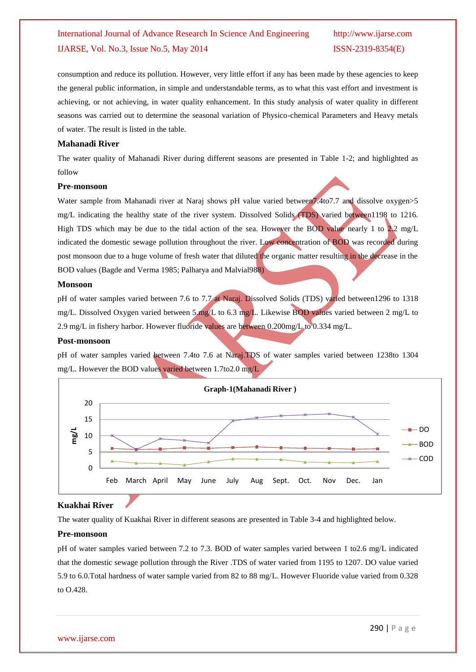# International Journal of Advance Research In Science And Engineering http://www.ijarse.com IJARSE, Vol. No.3, Issue No.5, May 2014 ISSN-2319-8354(E)

consumption and reduce its pollution. However, very little effort if any has been made by these agencies to keep the general public information, in simple and understandable terms, as to what this vast effort and investment is achieving, or not achieving, in water quality enhancement. In this study analysis of water quality in different seasons was carried out to determine the seasonal variation of Physico-chemical Parameters and Heavy metals of water. The result is listed in the table.

# **Mahanadi River**

The water quality of Mahanadi River during different seasons are presented in Table 1-2; and highlighted as follow

# **Pre-monsoon**

Water sample from Mahanadi river at Naraj shows pH value varied between 7.4to7.7 and dissolve oxygen > 5 mg/L indicating the healthy state of the river system. Dissolved Solids (TDS) varied between1198 to 1216. High TDS which may be due to the tidal action of the sea. However the BOD value nearly 1 to 2.2 mg/L indicated the domestic sewage pollution throughout the river. Low concentration of BOD was recorded during post monsoon due to a huge volume of fresh water that diluted the organic matter resulting in the decrease in the BOD values (Bagde and Verma 1985; Palharya and Malvial988)

#### **Monsoon**

pH of water samples varied between 7.6 to 7.7 at Naraj. Dissolved Solids (TDS) varied between1296 to 1318 mg/L. Dissolved Oxygen varied between 5.mg/L to 6.3 mg/L. Likewise BOD values varied between 2 mg/L to 2.9 mg/L in fishery harbor. However fluoride values are between 0.200mg/L to 0.334 mg/L.

#### **Post-monsoon**

pH of water samples varied between 7.4to 7.6 at Naraj.TDS of water samples varied between 1238to 1304 mg/L. However the BOD values varied between 1.7to2.0 mg/L



## **Kuakhai River**

The water quality of Kuakhai River in different seasons are presented in Table 3-4 and highlighted below.

## **Pre-monsoon**

pH of water samples varied between 7.2 to 7.3. BOD of water samples varied between 1 to2.6 mg/L indicated that the domestic sewage pollution through the River .TDS of water varied from 1195 to 1207. DO value varied 5.9 to 6.0.Total hardness of water sample varied from 82 to 88 mg/L. However Fluoride value varied from 0.328 to O.428.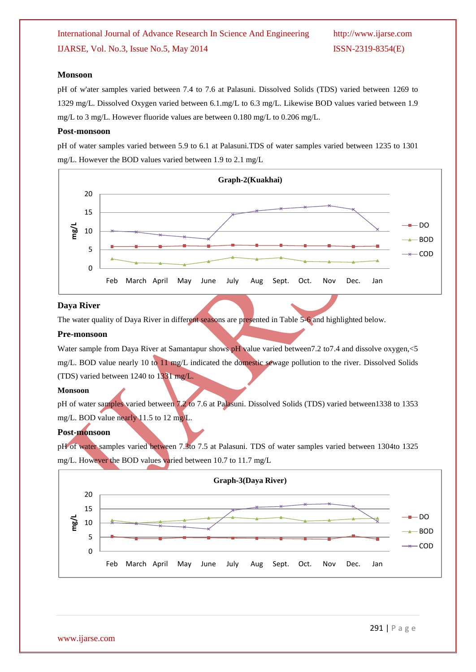# International Journal of Advance Research In Science And Engineering http://www.ijarse.com IJARSE, Vol. No.3, Issue No.5, May 2014 ISSN-2319-8354(E)

#### **Monsoon**

pH of w'ater samples varied between 7.4 to 7.6 at Palasuni. Dissolved Solids (TDS) varied between 1269 to 1329 mg/L. Dissolved Oxygen varied between 6.1.mg/L to 6.3 mg/L. Likewise BOD values varied between 1.9 mg/L to 3 mg/L. However fluoride values are between 0.180 mg/L to 0.206 mg/L.

#### **Post-monsoon**

pH of water samples varied between 5.9 to 6.1 at Palasuni.TDS of water samples varied between 1235 to 1301 mg/L. However the BOD values varied between 1.9 to 2.1 mg/L



#### **Daya River**

The water quality of Daya River in different seasons are presented in Table 5-6 and highlighted below.

#### **Pre-monsoon**

Water sample from Daya River at Samantapur shows pH value varied between 7.2 to 7.4 and dissolve oxygen, <5 mg/L. BOD value nearly 10 to 11 mg/L indicated the domestic sewage pollution to the river. Dissolved Solids (TDS) varied between 1240 to 1331 mg/L.

### **Monsoon**

pH of water samples varied between 7.2 to 7.6 at Palasuni. Dissolved Solids (TDS) varied between1338 to 1353 mg/L. BOD value nearly 11.5 to 12 mg/L.

# **Post-monsoon**

pH of water samples varied between 7.3to 7.5 at Palasuni. TDS of water samples varied between 1304to 1325 mg/L. However the BOD values varied between 10.7 to 11.7 mg/L